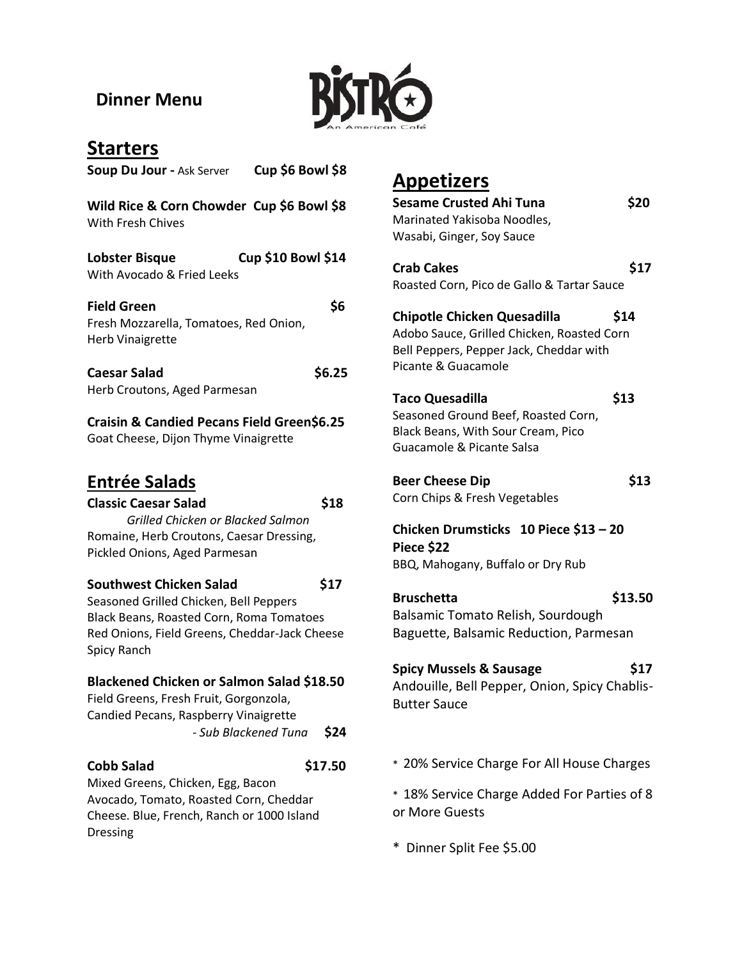## **Dinner Menu**



| <b>Starters</b>                                                                                                                                                                       |
|---------------------------------------------------------------------------------------------------------------------------------------------------------------------------------------|
| Cup \$6 Bowl \$8<br><b>Soup Du Jour - Ask Server</b>                                                                                                                                  |
| Wild Rice & Corn Chowder Cup \$6 Bowl \$8<br>With Fresh Chives                                                                                                                        |
| <b>Cup \$10 Bowl \$14</b><br>Lobster Bisque<br>With Avocado & Fried Leeks                                                                                                             |
| \$6<br><b>Field Green</b><br>Fresh Mozzarella, Tomatoes, Red Onion,<br><b>Herb Vinaigrette</b>                                                                                        |
| \$6.25<br><b>Caesar Salad</b><br>Herb Croutons, Aged Parmesan                                                                                                                         |
| <b>Craisin &amp; Candied Pecans Field Green\$6.25</b><br>Goat Cheese, Dijon Thyme Vinaigrette                                                                                         |
| <b>Entrée Salads</b><br>\$18<br><b>Classic Caesar Salad</b><br>Grilled Chicken or Blacked Salmon<br>Romaine, Herb Croutons, Caesar Dressing,<br>Pickled Onions, Aged Parmesan         |
| Southwest Chicken Salad<br>\$17<br>Seasoned Grilled Chicken, Bell Peppers<br>Black Beans, Roasted Corn, Roma Tomatoes<br>Red Onions, Field Greens, Cheddar-Jack Cheese<br>Spicy Ranch |
| Blackened Chicken or Salmon Salad \$18.50<br>Field Greens, Fresh Fruit, Gorgonzola,<br>Candied Pecans, Raspberry Vinaigrette<br>\$24<br>- Sub Blackened Tuna                          |
| <b>Cobb Salad</b><br>\$17.50<br>Mixed Greens, Chicken, Egg, Bacon<br>Avocado, Tomato, Roasted Corn, Cheddar<br>Cheese. Blue, French, Ranch or 1000 Island<br>Dressing                 |

# **Appetizers**

| <u>Appetizers</u>                                                                                                                                  |         |
|----------------------------------------------------------------------------------------------------------------------------------------------------|---------|
| Sesame Crusted Ahi Tuna                                                                                                                            | \$20    |
| Marinated Yakisoba Noodles,                                                                                                                        |         |
| Wasabi, Ginger, Soy Sauce                                                                                                                          |         |
|                                                                                                                                                    |         |
|                                                                                                                                                    |         |
| <b>Crab Cakes</b>                                                                                                                                  | \$17    |
| Roasted Corn, Pico de Gallo & Tartar Sauce                                                                                                         |         |
| <b>Chipotle Chicken Quesadilla</b><br>Adobo Sauce, Grilled Chicken, Roasted Corn<br>Bell Peppers, Pepper Jack, Cheddar with<br>Picante & Guacamole | \$14    |
| <b>Taco Quesadilla</b>                                                                                                                             | \$13    |
| Seasoned Ground Beef, Roasted Corn,                                                                                                                |         |
| Black Beans, With Sour Cream, Pico                                                                                                                 |         |
| Guacamole & Picante Salsa                                                                                                                          |         |
|                                                                                                                                                    |         |
|                                                                                                                                                    |         |
| <b>Beer Cheese Dip</b>                                                                                                                             | \$13    |
| Corn Chips & Fresh Vegetables                                                                                                                      |         |
| Chicken Drumsticks 10 Piece \$13 - 20<br>Piece \$22<br>BBQ, Mahogany, Buffalo or Dry Rub                                                           |         |
| <b>Bruschetta</b>                                                                                                                                  | \$13.50 |
|                                                                                                                                                    |         |
| Balsamic Tomato Relish, Sourdough                                                                                                                  |         |
| Baguette, Balsamic Reduction, Parmesan                                                                                                             |         |
|                                                                                                                                                    |         |
| <b>Spicy Mussels &amp; Sausage</b>                                                                                                                 | \$17    |
| Andouille, Bell Pepper, Onion, Spicy Chablis-                                                                                                      |         |
| <b>Butter Sauce</b>                                                                                                                                |         |
|                                                                                                                                                    |         |
|                                                                                                                                                    |         |
|                                                                                                                                                    |         |
| * 20% Service Charge For All House Charges                                                                                                         |         |
|                                                                                                                                                    |         |
| * 18% Service Charge Added For Parties of 8                                                                                                        |         |
|                                                                                                                                                    |         |
| or More Guests                                                                                                                                     |         |

\* Dinner Split Fee \$5.00